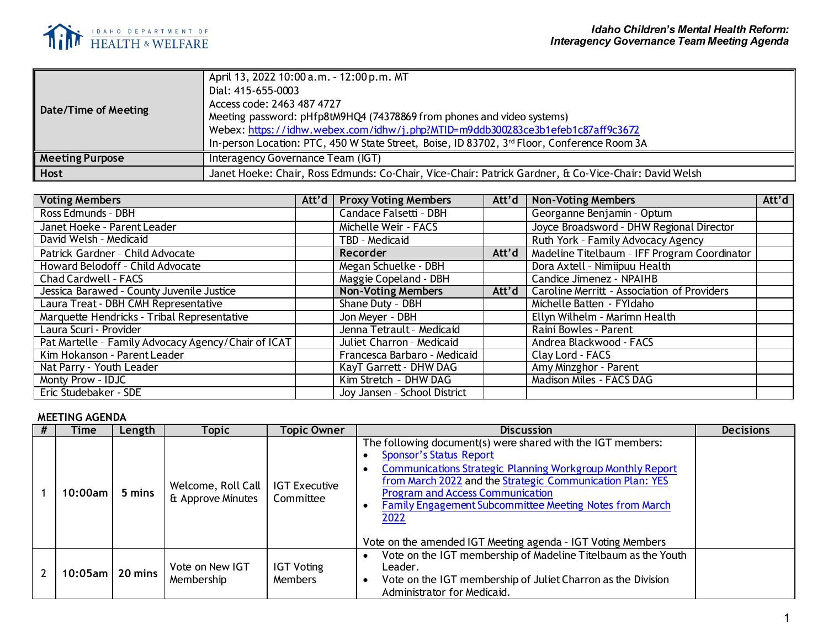

| Date/Time of Meeting   | April 13, 2022 10:00 a.m. - 12:00 p.m. MT<br>Dial: 415-655-0003<br>Access code: 2463 487 4727<br>Meeting password: pHfp8tM9HQ4 (74378869 from phones and video systems)<br>Webex: https://idhw.webex.com/idhw/j.php?MTID=m9ddb300283ce3b1efeb1c87aff9c3672<br>In-person Location: PTC, 450 W State Street, Boise, ID 83702, 3rd Floor, Conference Room 3A |
|------------------------|-----------------------------------------------------------------------------------------------------------------------------------------------------------------------------------------------------------------------------------------------------------------------------------------------------------------------------------------------------------|
| <b>Meeting Purpose</b> | Interagency Governance Team (IGT)                                                                                                                                                                                                                                                                                                                         |
| Host                   | Janet Hoeke: Chair, Ross Edmunds: Co-Chair, Vice-Chair: Patrick Gardner, & Co-Vice-Chair: David Welsh                                                                                                                                                                                                                                                     |

| <b>Voting Members</b>                               |  | Att'd   Proxy Voting Members | Att'd | <b>Non-Voting Members</b>                    | Att'd |
|-----------------------------------------------------|--|------------------------------|-------|----------------------------------------------|-------|
| Ross Edmunds - DBH                                  |  | Candace Falsetti - DBH       |       | Georganne Benjamin - Optum                   |       |
| Janet Hoeke - Parent Leader                         |  | Michelle Weir - FACS         |       | Joyce Broadsword - DHW Regional Director     |       |
| David Welsh - Medicaid                              |  | TBD - Medicaid               |       | Ruth York - Family Advocacy Agency           |       |
| Patrick Gardner - Child Advocate                    |  | Recorder                     | Att'd | Madeline Titelbaum - IFF Program Coordinator |       |
| Howard Belodoff - Child Advocate                    |  | Megan Schuelke - DBH         |       | Dora Axtell - Nimiipuu Health                |       |
| Chad Cardwell - FACS                                |  | Maggie Copeland - DBH        |       | Candice Jimenez - NPAIHB                     |       |
| Jessica Barawed - County Juvenile Justice           |  | <b>Non-Voting Members</b>    | Att'd | Caroline Merritt - Association of Providers  |       |
| Laura Treat - DBH CMH Representative                |  | Shane Duty - DBH             |       | Michelle Batten - FYIdaho                    |       |
| Marquette Hendricks - Tribal Representative         |  | Jon Mever - DBH              |       | Ellyn Wilhelm - Marimn Health                |       |
| Laura Scuri - Provider                              |  | Jenna Tetrault - Medicaid    |       | Raini Bowles - Parent                        |       |
| Pat Martelle - Family Advocacy Agency/Chair of ICAT |  | Juliet Charron - Medicaid    |       | Andrea Blackwood - FACS                      |       |
| Kim Hokanson - Parent Leader                        |  | Francesca Barbaro - Medicaid |       | Clay Lord - FACS                             |       |
| Nat Parry - Youth Leader                            |  | KayT Garrett - DHW DAG       |       | Amy Minzghor - Parent                        |       |
| Monty Prow - IDJC                                   |  | Kim Stretch - DHW DAG        |       | Madison Miles - FACS DAG                     |       |
| Eric Studebaker - SDE                               |  | Joy Jansen - School District |       |                                              |       |

## **MEETING AGENDA**

| Time            | Length | Topic                                   | <b>Topic Owner</b>                  | <b>Discussion</b>                                                                                                                                                                                                                                                                                                                                                                                            | <b>Decisions</b> |
|-----------------|--------|-----------------------------------------|-------------------------------------|--------------------------------------------------------------------------------------------------------------------------------------------------------------------------------------------------------------------------------------------------------------------------------------------------------------------------------------------------------------------------------------------------------------|------------------|
| 10:00am         | 5 mins | Welcome, Roll Call<br>& Approve Minutes | <b>IGT Executive</b><br>Committee   | The following document(s) were shared with the IGT members:<br><b>Sponsor's Status Report</b><br><b>Communications Strategic Planning Workgroup Monthly Report</b><br>from March 2022 and the Strategic Communication Plan: YES<br><b>Program and Access Communication</b><br>Family Engagement Subcommittee Meeting Notes from March<br>2022<br>Vote on the amended IGT Meeting agenda - IGT Voting Members |                  |
| 10:05am 20 mins |        | Vote on New IGT<br>Membership           | <b>IGT Voting</b><br><b>Members</b> | Vote on the IGT membership of Madeline Titelbaum as the Youth<br>Leader.<br>Vote on the IGT membership of Juliet Charron as the Division<br>Administrator for Medicaid.                                                                                                                                                                                                                                      |                  |